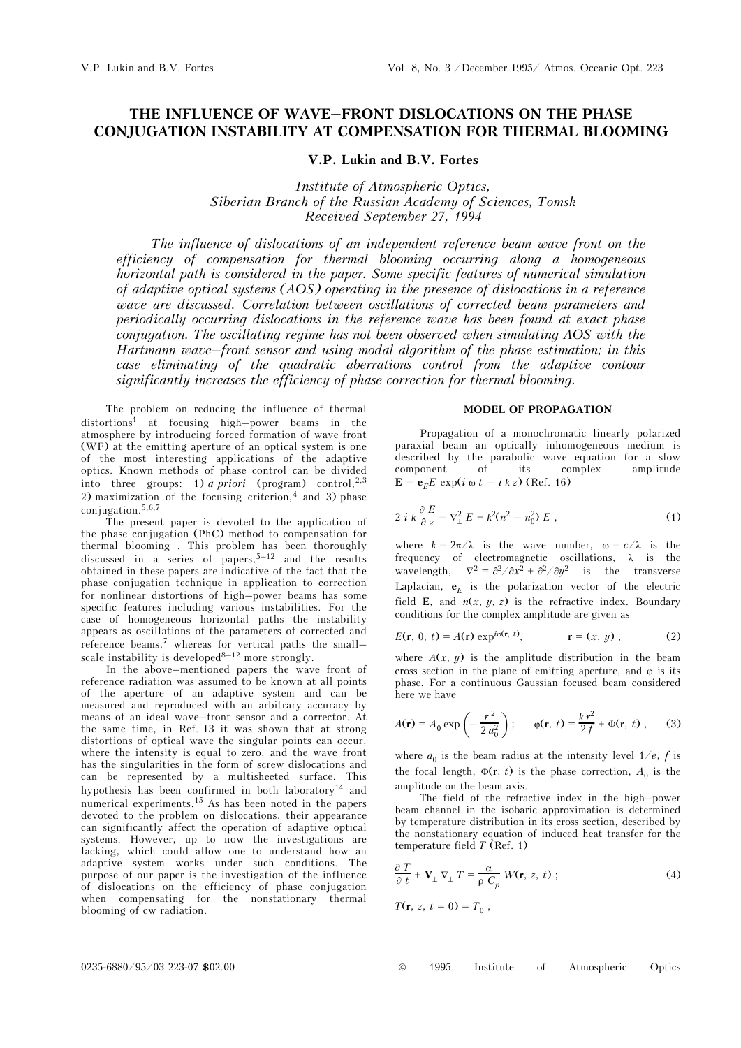# **THE INFLUENCE OF WAVE–FRONT DISLOCATIONS ON THE PHASE CONJUGATION INSTABILITY AT COMPENSATION FOR THERMAL BLOOMING**

# **V.P. Lukin and B.V. Fortes**

*Institute of Atmospheric Optics, Siberian Branch of the Russian Academy of Sciences, Tomsk Received September 27, 1994* 

*The influence of dislocations of an independent reference beam wave front on the efficiency of compensation for thermal blooming occurring along a homogeneous horizontal path is considered in the paper. Some specific features of numerical simulation of adaptive optical systems (AOS) operating in the presence of dislocations in a reference wave are discussed. Correlation between oscillations of corrected beam parameters and periodically occurring dislocations in the reference wave has been found at exact phase conjugation. The oscillating regime has not been observed when simulating AOS with the Hartmann wave–front sensor and using modal algorithm of the phase estimation; in this case eliminating of the quadratic aberrations control from the adaptive contour significantly increases the efficiency of phase correction for thermal blooming.* 

The problem on reducing the influence of thermal distortions1 at focusing high–power beams in the atmosphere by introducing forced formation of wave front (WF) at the emitting aperture of an optical system is one of the most interesting applications of the adaptive optics. Known methods of phase control can be divided into three groups: 1) *a priori* (program) control,<sup>2,3</sup> 2) maximization of the focusing criterion,  $4$  and 3) phase conjugation. $5,6,7$ 

The present paper is devoted to the application of the phase conjugation (PhC) method to compensation for thermal blooming . This problem has been thoroughly discussed in a series of papers,  $5-12$  and the results obtained in these papers are indicative of the fact that the phase conjugation technique in application to correction for nonlinear distortions of high–power beams has some specific features including various instabilities. For the case of homogeneous horizontal paths the instability appears as oscillations of the parameters of corrected and reference beams, $7$  whereas for vertical paths the smallscale instability is developed  $8-12$  more strongly.

In the above–mentioned papers the wave front of reference radiation was assumed to be known at all points of the aperture of an adaptive system and can be measured and reproduced with an arbitrary accuracy by means of an ideal wave–front sensor and a corrector. At the same time, in Ref. 13 it was shown that at strong distortions of optical wave the singular points can occur, where the intensity is equal to zero, and the wave front has the singularities in the form of screw dislocations and can be represented by a multisheeted surface. This hypothesis has been confirmed in both laboratory<sup>14</sup> and numerical experiments.15 As has been noted in the papers devoted to the problem on dislocations, their appearance can significantly affect the operation of adaptive optical systems. However, up to now the investigations are lacking, which could allow one to understand how an adaptive system works under such conditions. The purpose of our paper is the investigation of the influence of dislocations on the efficiency of phase conjugation when compensating for the nonstationary thermal blooming of cw radiation.

### **MODEL OF PROPAGATION**

Propagation of a monochromatic linearly polarized paraxial beam an optically inhomogeneous medium is described by the parabolic wave equation for a slow component of its complex amplitude **E** =  $e_{E}E$  exp(*i* ω *t* – *i k z*) (Ref. 16)

$$
2 i k \frac{\partial E}{\partial z} = \nabla_{\perp}^2 E + k^2 (n^2 - n_0^2) E , \qquad (1)
$$

where  $k = 2\pi/\lambda$  is the wave number,  $\omega = c/\lambda$  is the frequency of electromagnetic oscillations, λ is the wavelength,  $\nabla_{\perp}^2 = \frac{\partial^2}{\partial x^2} + \frac{\partial^2}{\partial y^2}$  is the transverse Laplacian,  $e<sub>E</sub>$  is the polarization vector of the electric field **E**, and  $n(x, y, z)$  is the refractive index. Boundary conditions for the complex amplitude are given as

$$
E(\mathbf{r}, 0, t) = A(\mathbf{r}) \exp^{i\varphi(\mathbf{r}, t)}, \qquad \mathbf{r} = (x, y), \qquad (2)
$$

where  $A(x, y)$  is the amplitude distribution in the beam cross section in the plane of emitting aperture, and  $\varphi$  is its phase. For a continuous Gaussian focused beam considered here we have

$$
A(\mathbf{r}) = A_0 \exp\left(-\frac{r^2}{2 a_0^2}\right); \qquad \varphi(\mathbf{r}, t) = \frac{k r^2}{2 f} + \Phi(\mathbf{r}, t) , \qquad (3)
$$

where  $a_0$  is the beam radius at the intensity level  $1/e$ , *f* is the focal length,  $\Phi(\mathbf{r}, t)$  is the phase correction,  $A_0$  is the amplitude on the beam axis.

The field of the refractive index in the high–power beam channel in the isobaric approximation is determined by temperature distribution in its cross section, described by the nonstationary equation of induced heat transfer for the temperature field  $\overline{T}$  (Ref. 1)

$$
\frac{\partial T}{\partial t} + \mathbf{V}_{\perp} \nabla_{\perp} T = \frac{\alpha}{\rho C_p} W(\mathbf{r}, z, t) ;
$$
\n(4)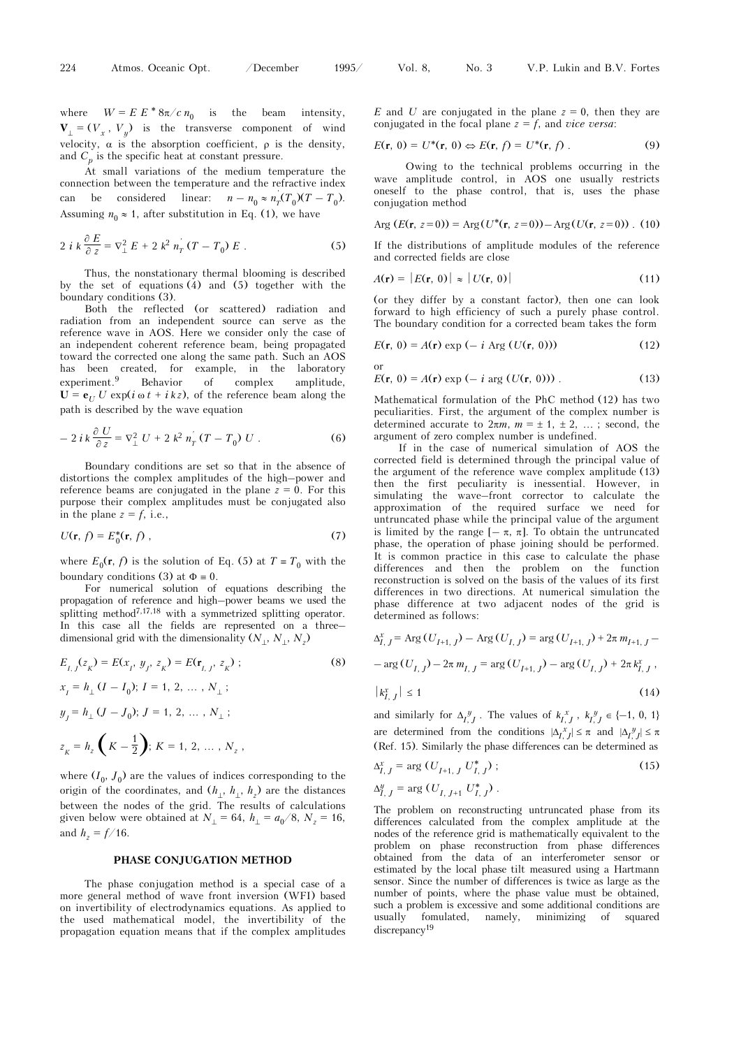or

where  $W = E E^* 8\pi / c n_0$  is the beam intensity,  $V_{\perp} = (V_x, V_y)$  is the transverse component of wind velocity,  $\alpha$  is the absorption coefficient,  $\rho$  is the density, and  $C_p$  is the specific heat at constant pressure.

At small variations of the medium temperature the connection between the temperature and the refractive index can be considered linear:  $n - n_0 \approx n'_T(T_0)(T - T_0)$ . Assuming  $n_0 \approx 1$ , after substitution in Eq. (1), we have

$$
2 i k \frac{\partial E}{\partial z} = \nabla_{\perp}^{2} E + 2 k^{2} n_{T}^{'} (T - T_{0}) E .
$$
 (5)

Thus, the nonstationary thermal blooming is described by the set of equations (4) and (5) together with the boundary conditions (3).

Both the reflected (or scattered) radiation and radiation from an independent source can serve as the reference wave in AOS. Here we consider only the case of an independent coherent reference beam, being propagated toward the corrected one along the same path. Such an AOS has been created, for example, in the laboratory experiment.<sup>9</sup> Behavior of complex amplitude,  $U = e_U U \exp(i \omega t + i k z)$ , of the reference beam along the path is described by the wave equation

$$
-2 i k \frac{\partial U}{\partial z} = \nabla_{\perp}^{2} U + 2 k^{2} n_{T}^{'} (T - T_{0}) U .
$$
 (6)

Boundary conditions are set so that in the absence of distortions the complex amplitudes of the high–power and reference beams are conjugated in the plane  $z = 0$ . For this purpose their complex amplitudes must be conjugated also in the plane  $z = f$ , i.e.,

$$
U(\mathbf{r},\,f)=E_0^*(\mathbf{r},\,f)\,,\tag{7}
$$

where  $E_0(\mathbf{r}, f)$  is the solution of Eq. (5) at  $T \equiv T_0$  with the boundary conditions (3) at  $\Phi = 0$ .

For numerical solution of equations describing the propagation of reference and high–power beams we used the splitting method7,17,18 with a symmetrized splitting operator. In this case all the fields are represented on a threedimensional grid with the dimensionality  $(N_\perp, N_\perp, N_z)$ 

$$
E_{I, J}(z_K) = E(x_I, y_J, z_K) = E(\mathbf{r}_{I, J}, z_K);
$$
\n
$$
x_I = h_\perp (I - I_0); I = 1, 2, ..., N_\perp;
$$
\n
$$
y_J = h_\perp (J - J_0); J = 1, 2, ..., N_\perp;
$$
\n
$$
z_K = h_z \left(K - \frac{1}{2}\right); K = 1, 2, ..., N_z,
$$
\n(8)

where  $(I_0, J_0)$  are the values of indices corresponding to the origin of the coordinates, and  $(h_{\perp}, h_{\perp}, h_z)$  are the distances between the nodes of the grid. The results of calculations given below were obtained at  $N_{\perp} = 64$ ,  $h_{\perp} = a_0/8$ ,  $N_z = 16$ , and  $h_z = f/16$ .

### **PHASE CONJUGATION METHOD**

The phase conjugation method is a special case of a more general method of wave front inversion (WFI) based on invertibility of electrodynamics equations. As applied to the used mathematical model, the invertibility of the propagation equation means that if the complex amplitudes *E* and *U* are conjugated in the plane  $z = 0$ , then they are conjugated in the focal plane  $z = f$ , and *vice versa*:

$$
E(\mathbf{r},\,0)=U^*(\mathbf{r},\,0)\Leftrightarrow E(\mathbf{r},\,f)=U^*(\mathbf{r},\,f)\;.\tag{9}
$$

Owing to the technical problems occurring in the wave amplitude control, in AOS one usually restricts oneself to the phase control, that is, uses the phase conjugation method

Arg 
$$
(E(\mathbf{r}, z=0)) = \text{Arg}(U^*(\mathbf{r}, z=0)) - \text{Arg}(U(\mathbf{r}, z=0))
$$
. (10)

If the distributions of amplitude modules of the reference and corrected fields are close

$$
A(\mathbf{r}) = |E(\mathbf{r}, 0)| \approx |U(\mathbf{r}, 0)| \tag{11}
$$

(or they differ by a constant factor), then one can look forward to high efficiency of such a purely phase control. The boundary condition for a corrected beam takes the form

$$
E(\mathbf{r}, 0) = A(\mathbf{r}) \exp(-i \text{ Arg } (U(\mathbf{r}, 0)))
$$
 (12)

$$
E(\mathbf{r}, 0) = A(\mathbf{r}) \exp(-i \arg(U(\mathbf{r}, 0)))
$$
 (13)

Mathematical formulation of the PhC method (12) has two peculiarities. First, the argument of the complex number is determined accurate to  $2\pi m$ ,  $m = \pm 1, \pm 2, \ldots$ ; second, the argument of zero complex number is undefined.

If in the case of numerical simulation of AOS the corrected field is determined through the principal value of the argument of the reference wave complex amplitude (13) then the first peculiarity is inessential. However, in simulating the wave–front corrector to calculate the approximation of the required surface we need for untruncated phase while the principal value of the argument is limited by the range  $[-\pi, \pi]$ . To obtain the untruncated phase, the operation of phase joining should be performed. It is common practice in this case to calculate the phase differences and then the problem on the function reconstruction is solved on the basis of the values of its first differences in two directions. At numerical simulation the phase difference at two adjacent nodes of the grid is determined as follows:

$$
\Delta_{I, J}^{x} = \text{Arg}(U_{I+1, J}) - \text{Arg}(U_{I, J}) = \text{arg}(U_{I+1, J}) + 2\pi m_{I+1, J} -
$$

$$
-\arg(U_{I, J}) - 2\pi m_{I, J} = \arg(U_{I+1, J}) - \arg(U_{I, J}) + 2\pi k_{I, J}^x,
$$

$$
\left|k_{I,\,J}^x\right| \le 1\tag{14}
$$

and similarly for  $\Delta_{I, J}^y$ . The values of  $k_{I, J}^x$ ,  $k_{I, J}^y \in \{-1, 0, 1\}$ are determined from the conditions  $|\Delta I_{i,j}^x| \leq \pi$  and  $|\Delta I_{i,j}^y| \leq \pi$ (Ref. 15). Similarly the phase differences can be determined as

$$
\Delta_{I, J}^{x} = \arg(U_{I+1, J} U_{I, J}^{*}) ; \qquad (15)
$$

$$
\Delta_{I,\,J}^y = \arg\left(U_{I,\,J+1}\,U_{I,\,J}^*\right)
$$

The problem on reconstructing untruncated phase from its differences calculated from the complex amplitude at the nodes of the reference grid is mathematically equivalent to the problem on phase reconstruction from phase differences obtained from the data of an interferometer sensor or estimated by the local phase tilt measured using a Hartmann sensor. Since the number of differences is twice as large as the number of points, where the phase value must be obtained, such a problem is excessive and some additional conditions are usually fomulated, namely, minimizing of squared discrepancy<sup>19</sup>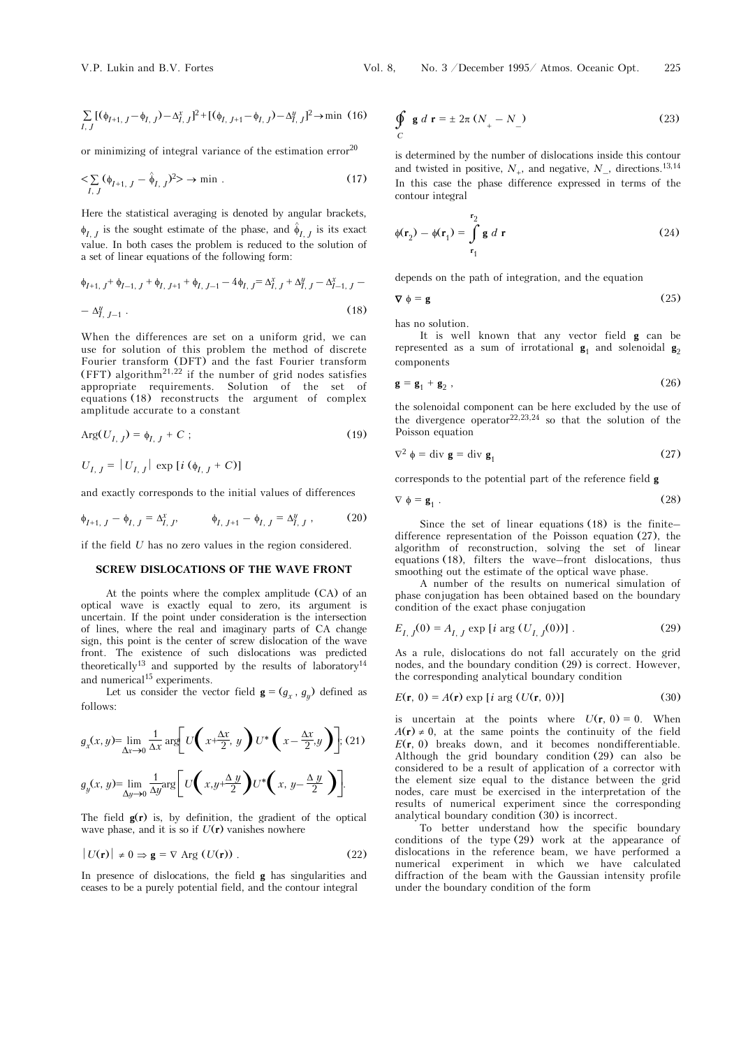$$
\sum_{I, J} [(\phi_{I+1, J} - \phi_{I, J}) - \Delta_{I, J}^x]^2 + [(\phi_{I, J+1} - \phi_{I, J}) - \Delta_{I, J}^y]^2 \to \min (16)
$$

or minimizing of integral variance of the estimation error  $2^{0}$ 

$$
\langle \sum_{I,\,J} (\phi_{I+1,\,J} - \hat{\phi}_{I,\,J})^2 \rangle \to \min . \tag{17}
$$

Here the statistical averaging is denoted by angular brackets,  $\phi_{I, J}$  is the sought estimate of the phase, and  $\hat{\phi}_{I, J}$  is its exact value. In both cases the problem is reduced to the solution of a set of linear equations of the following form:

$$
\phi_{I+1, J} + \phi_{I-1, J} + \phi_{I, J+1} + \phi_{I, J-1} - 4\phi_{I, J} = \Delta_{I, J}^{x} + \Delta_{I, J}^{y} - \Delta_{I-1, J}^{x} - \Delta_{I, J-1}^{y}
$$
\n
$$
- \Delta_{I, J-1}^{y} . \tag{18}
$$

When the differences are set on a uniform grid, we can use for solution of this problem the method of discrete Fourier transform (DFT) and the fast Fourier transform (FFT) algorithm<sup>21,22</sup> if the number of grid nodes satisfies appropriate requirements. Solution of the set of equations (18) reconstructs the argument of complex amplitude accurate to a constant

$$
Arg(U_{I, J}) = \phi_{I, J} + C \tag{19}
$$

$$
U_{I, J} = |U_{I, J}| \exp [i (\phi_{I, J} + C)]
$$

and exactly corresponds to the initial values of differences

$$
\phi_{I+1, J} - \phi_{I, J} = \Delta_{I, J}^x, \qquad \phi_{I, J+1} - \phi_{I, J} = \Delta_{I, J}^y,
$$
 (20)

if the field *U* has no zero values in the region considered.

## **SCREW DISLOCATIONS OF THE WAVE FRONT**

At the points where the complex amplitude (CA) of an optical wave is exactly equal to zero, its argument is uncertain. If the point under consideration is the intersection of lines, where the real and imaginary parts of CA change sign, this point is the center of screw dislocation of the wave front. The existence of such dislocations was predicted theoretically<sup>13</sup> and supported by the results of laboratory<sup>14</sup> and numerical<sup>15</sup> experiments.

Let us consider the vector field  $\mathbf{g} = (g_x, g_y)$  defined as follows:

$$
g_x(x, y) = \lim_{\Delta x \to 0} \frac{1}{\Delta x} \arg \left[ U\left(x + \frac{\Delta x}{2}, y\right) U^*\left(x - \frac{\Delta x}{2}, y\right) \right]; (21)
$$

$$
g_y(x, y) = \lim_{\Delta y \to 0} \frac{1}{\Delta y} \arg \left[ U\left(x, y + \frac{\Delta y}{2}\right) U^*\left(x, y - \frac{\Delta y}{2}\right) \right].
$$

The field  $g(r)$  is, by definition, the gradient of the optical wave phase, and it is so if  $U(\mathbf{r})$  vanishes nowhere

$$
|U(\mathbf{r})| \neq 0 \Rightarrow \mathbf{g} = \nabla \text{Arg}(U(\mathbf{r})).
$$
 (22)

In presence of dislocations, the field **g** has singularities and ceases to be a purely potential field, and the contour integral

$$
\oint_C g d\mathbf{r} = \pm 2\pi (N_+ - N_-)
$$
\n(23)

is determined by the number of dislocations inside this contour and twisted in positive,  $N_{+}$ , and negative,  $N_{-}$ , directions.<sup>13,14</sup> In this case the phase difference expressed in terms of the contour integral

$$
\phi(\mathbf{r}_2) - \phi(\mathbf{r}_1) = \int_{\mathbf{r}_1}^{\mathbf{r}_2} \mathbf{g} \, d\mathbf{r}
$$
 (24)

depends on the path of integration, and the equation

$$
\nabla \phi = \mathbf{g} \tag{25}
$$

has no solution.

It is well known that any vector field **g** can be represented as a sum of irrotational  $\mathbf{g}_1$  and solenoidal  $\mathbf{g}_2$ components

$$
\mathbf{g} = \mathbf{g}_1 + \mathbf{g}_2 \,,\tag{26}
$$

the solenoidal component can be here excluded by the use of the divergence operator<sup>22,23,24</sup> so that the solution of the Poisson equation

$$
\nabla^2 \phi = \text{div } \mathbf{g} = \text{div } \mathbf{g}_1 \tag{27}
$$

corresponds to the potential part of the reference field **g**

$$
\nabla \phi = \mathbf{g}_1 \tag{28}
$$

Since the set of linear equations (18) is the finite– difference representation of the Poisson equation (27), the algorithm of reconstruction, solving the set of linear equations (18), filters the wave–front dislocations, thus smoothing out the estimate of the optical wave phase.

A number of the results on numerical simulation of phase conjugation has been obtained based on the boundary condition of the exact phase conjugation

$$
E_{I, J}(0) = A_{I, J} \exp[i \arg(U_{I, J}(0))]. \tag{29}
$$

As a rule, dislocations do not fall accurately on the grid nodes, and the boundary condition (29) is correct. However, the corresponding analytical boundary condition

$$
E(\mathbf{r}, 0) = A(\mathbf{r}) \exp[i \arg(U(\mathbf{r}, 0))]
$$
\n(30)

is uncertain at the points where  $U(\mathbf{r}, 0) = 0$ . When  $A(r) \neq 0$ , at the same points the continuity of the field *E*(**r**, 0) breaks down, and it becomes nondifferentiable. Although the grid boundary condition (29) can also be considered to be a result of application of a corrector with the element size equal to the distance between the grid nodes, care must be exercised in the interpretation of the results of numerical experiment since the corresponding analytical boundary condition (30) is incorrect.

To better understand how the specific boundary conditions of the type (29) work at the appearance of dislocations in the reference beam, we have performed a numerical experiment in which we have calculated diffraction of the beam with the Gaussian intensity profile under the boundary condition of the form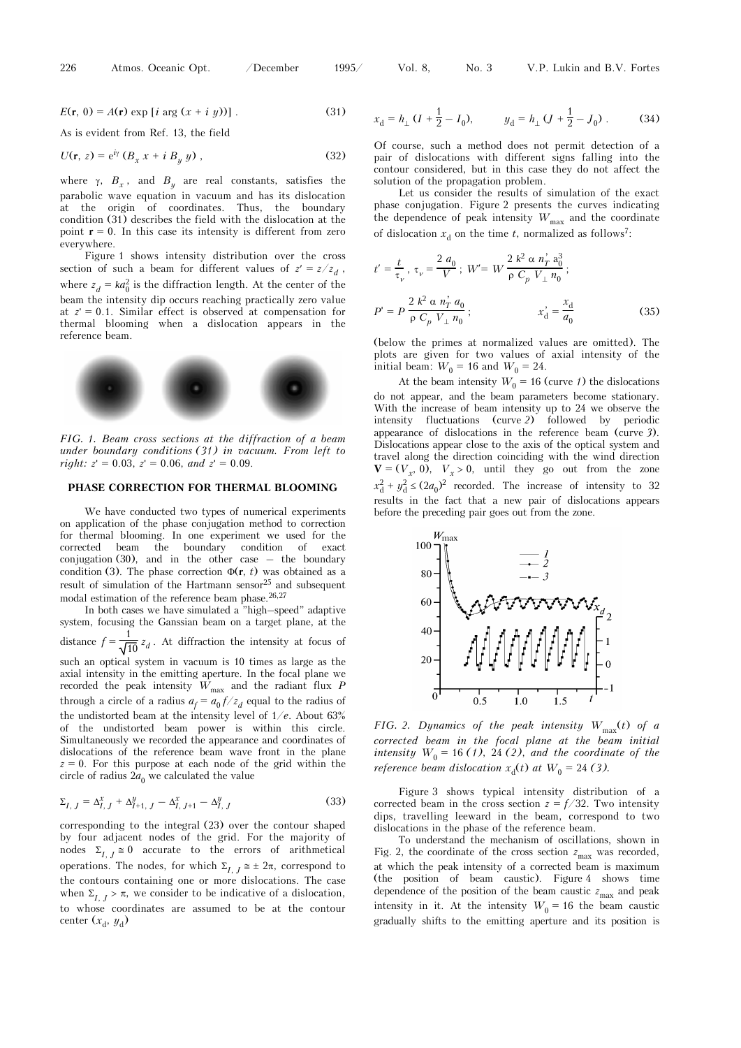$$
E(\mathbf{r}, 0) = A(\mathbf{r}) \exp[i \arg(x + i y)] \tag{31}
$$

As is evident from Ref. 13, the field

$$
U(\mathbf{r}, z) = e^{i\gamma} \left( B_x x + i B_y y \right), \tag{32}
$$

where  $\gamma$ ,  $B_x$ , and  $B_y$  are real constants, satisfies the parabolic wave equation in vacuum and has its dislocation at the origin of coordinates. Thus, the boundary condition (31) describes the field with the dislocation at the point  $r = 0$ . In this case its intensity is different from zero everywhere.

Figure 1 shows intensity distribution over the cross section of such a beam for different values of  $z' = z/z_d$ , where  $z_d = ka_0^2$  is the diffraction length. At the center of the beam the intensity dip occurs reaching practically zero value at  $z' = 0.1$ . Similar effect is observed at compensation for thermal blooming when a dislocation appears in the reference beam.



*FIG. 1. Beam cross sections at the diffraction of a beam under boundary conditions (31) in vacuum. From left to right:*  $z' = 0.03$ ,  $z' = 0.06$ , and  $z' = 0.09$ .

### **PHASE CORRECTION FOR THERMAL BLOOMING**

We have conducted two types of numerical experiments on application of the phase conjugation method to correction for thermal blooming. In one experiment we used for the corrected beam the boundary condition of exact conjugation  $(30)$ , and in the other case – the boundary condition (3). The phase correction  $\Phi(\mathbf{r}, t)$  was obtained as a result of simulation of the Hartmann sensor<sup>25</sup> and subsequent modal estimation of the reference beam phase. $26,27$ 

In both cases we have simulated a "high–speed" adaptive system, focusing the Ganssian beam on a target plane, at the distance  $f = \frac{1}{\sqrt{10}} z_d$ . At diffraction the intensity at focus of such an optical system in vacuum is 10 times as large as the axial intensity in the emitting aperture. In the focal plane we recorded the peak intensity  $W_{\text{max}}$  and the radiant flux  $P$ through a circle of a radius  $a_f = a_0 f / z_d$  equal to the radius of the undistorted beam at the intensity level of 1/*e*. About 63% of the undistorted beam power is within this circle. Simultaneously we recorded the appearance and coordinates of dislocations of the reference beam wave front in the plane  $z = 0$ . For this purpose at each node of the grid within the circle of radius  $2a_0$  we calculated the value

$$
\Sigma_{I, J} = \Delta_{I, J}^{x} + \Delta_{I+1, J}^{y} - \Delta_{I, J+1}^{x} - \Delta_{I, J}^{y}
$$
\n(33)

corresponding to the integral (23) over the contour shaped by four adjacent nodes of the grid. For the majority of nodes  $\Sigma_{I, J} \cong 0$  accurate to the errors of arithmetical operations. The nodes, for which  $\Sigma_{I, J} \approx \pm 2\pi$ , correspond to the contours containing one or more dislocations. The case when  $\Sigma_{I, J} > \pi$ , we consider to be indicative of a dislocation, to whose coordinates are assumed to be at the contour center  $(x_d, y_d)$ 

$$
x_{\rm d} = h_{\perp} \left( I + \frac{1}{2} - I_0 \right), \qquad y_{\rm d} = h_{\perp} \left( J + \frac{1}{2} - J_0 \right). \tag{34}
$$

Of course, such a method does not permit detection of a pair of dislocations with different signs falling into the contour considered, but in this case they do not affect the solution of the propagation problem.

Let us consider the results of simulation of the exact phase conjugation. Figure 2 presents the curves indicating the dependence of peak intensity  $W_{\text{max}}$  and the coordinate of dislocation  $x_d$  on the time *t*, normalized as follows<sup>7</sup>:

$$
t' = \frac{t}{\tau_{\nu}}, \ \tau_{\nu} = \frac{2 \ a_0}{V}; \ W' = W \frac{2 \ k^2 \ \alpha \ n_{T}^{2} \ a_0^{3}}{\rho \ C_{p} \ V_{\perp} \ n_{0}};
$$
\n
$$
P' = P \frac{2 \ k^2 \ \alpha \ n_{T}^{2} \ a_0}{\rho \ C_{p} \ V_{\perp} \ n_{0}};
$$
\n
$$
x_{\rm d}^{2} = \frac{x_{\rm d}}{a_{0}}
$$
\n(35)

(below the primes at normalized values are omitted). The plots are given for two values of axial intensity of the initial beam:  $W_0 = 16$  and  $W_0 = 24$ .

At the beam intensity  $W_0 = 16$  (curve *1*) the dislocations do not appear, and the beam parameters become stationary. With the increase of beam intensity up to 24 we observe the intensity fluctuations (curve *2*) followed by periodic appearance of dislocations in the reference beam (curve *3*). Dislocations appear close to the axis of the optical system and travel along the direction coinciding with the wind direction  $$  $x_d^2 + y_d^2 \le (2a_0)^2$  recorded. The increase of intensity to 32 results in the fact that a new pair of dislocations appears before the preceding pair goes out from the zone.



*FIG. 2. Dynamics of the peak intensity W*<sub>max</sub>(*t*) of a *corrected beam in the focal plane at the beam initial intensity*  $W_0 = 16$  (1), 24 (2), and the coordinate of the *reference beam dislocation*  $x<sub>d</sub>(t)$  *at*  $W<sub>0</sub> = 24$  (3).

Figure 3 shows typical intensity distribution of a corrected beam in the cross section  $z = f/32$ . Two intensity dips, travelling leeward in the beam, correspond to two dislocations in the phase of the reference beam.

To understand the mechanism of oscillations, shown in Fig. 2, the coordinate of the cross section  $z_{\text{max}}$  was recorded, at which the peak intensity of a corrected beam is maximum (the position of beam caustic). Figure 4 shows time dependence of the position of the beam caustic  $z_{\text{max}}$  and peak intensity in it. At the intensity  $W_0 = 16$  the beam caustic gradually shifts to the emitting aperture and its position is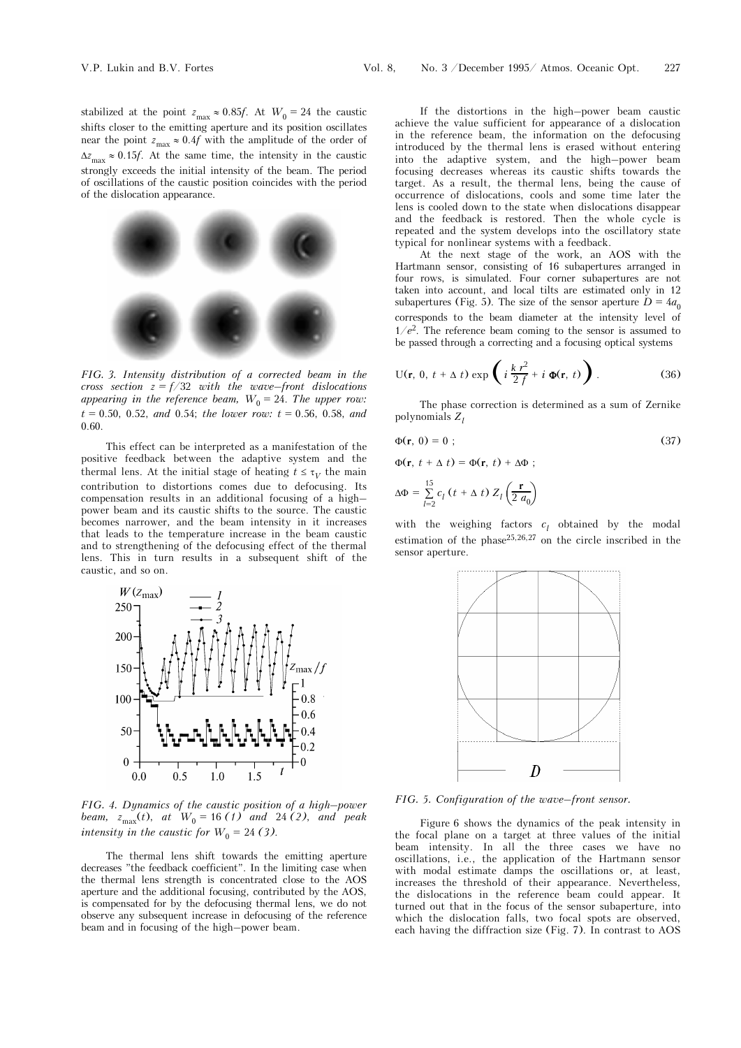stabilized at the point  $z_{\text{max}} \approx 0.85f$ . At  $W_0 = 24$  the caustic shifts closer to the emitting aperture and its position oscillates near the point  $z_{\text{max}} \approx 0.4f$  with the amplitude of the order of  $\Delta z_{\text{max}} \approx 0.15f$ . At the same time, the intensity in the caustic strongly exceeds the initial intensity of the beam. The period of oscillations of the caustic position coincides with the period of the dislocation appearance.



*FIG. 3. Intensity distribution of a corrected beam in the cross section z = f/*32 *with the wave–front dislocations*  appearing in the reference beam,  $W_0 = 24$ . The upper row: *t* = 0.50, 0.52, *and* 0.54; *the lower row: t* = 0.56, 0.58, *and* 0.60.

This effect can be interpreted as a manifestation of the positive feedback between the adaptive system and the thermal lens. At the initial stage of heating  $t \leq \tau_V$  the main contribution to distortions comes due to defocusing. Its compensation results in an additional focusing of a high– power beam and its caustic shifts to the source. The caustic becomes narrower, and the beam intensity in it increases that leads to the temperature increase in the beam caustic and to strengthening of the defocusing effect of the thermal lens. This in turn results in a subsequent shift of the caustic, and so on.



*FIG. 4. Dynamics of the caustic position of a high–power beam,*  $z_{\text{max}}(t)$ , *at*  $W_0 = 16$  (1) *and* 24 (2), *and peak intensity in the caustic for*  $W_0 = 24$  (3).

The thermal lens shift towards the emitting aperture decreases "the feedback coefficient". In the limiting case when the thermal lens strength is concentrated close to the AOS aperture and the additional focusing, contributed by the AOS, is compensated for by the defocusing thermal lens, we do not observe any subsequent increase in defocusing of the reference beam and in focusing of the high–power beam.

If the distortions in the high–power beam caustic achieve the value sufficient for appearance of a dislocation in the reference beam, the information on the defocusing introduced by the thermal lens is erased without entering into the adaptive system, and the high–power beam focusing decreases whereas its caustic shifts towards the target. As a result, the thermal lens, being the cause of occurrence of dislocations, cools and some time later the lens is cooled down to the state when dislocations disappear and the feedback is restored. Then the whole cycle is repeated and the system develops into the oscillatory state typical for nonlinear systems with a feedback.

At the next stage of the work, an AOS with the Hartmann sensor, consisting of 16 subapertures arranged in four rows, is simulated. Four corner subapertures are not taken into account, and local tilts are estimated only in 12 subapertures (Fig. 5). The size of the sensor aperture  $D = 4a_0$ corresponds to the beam diameter at the intensity level of 1/*e*2. The reference beam coming to the sensor is assumed to be passed through a correcting and a focusing optical systems

$$
U(r, 0, t + \Delta t) \exp\left(i\frac{k r^2}{2f} + i\Phi(r, t)\right).
$$
 (36)

The phase correction is determined as a sum of Zernike polynomials *Zl*

$$
\Phi(\mathbf{r},\ 0)=0\ ;\tag{37}
$$

 $\Phi(\mathbf{r}, t + \Delta t) = \Phi(\mathbf{r}, t) + \Delta \Phi$ ;

$$
\Delta \Phi = \sum_{l=2}^{15} c_l \left( t + \Delta t \right) Z_l \left( \frac{\mathbf{r}}{2 a_0} \right)
$$

with the weighing factors  $c_l$  obtained by the modal estimation of the phase<sup>25,26,27</sup> on the circle inscribed in the sensor aperture.



*FIG. 5. Configuration of the wave–front sensor.* 

Figure 6 shows the dynamics of the peak intensity in the focal plane on a target at three values of the initial beam intensity. In all the three cases we have no oscillations, i.e., the application of the Hartmann sensor with modal estimate damps the oscillations or, at least, increases the threshold of their appearance. Nevertheless, the dislocations in the reference beam could appear. It turned out that in the focus of the sensor subaperture, into which the dislocation falls, two focal spots are observed, each having the diffraction size (Fig. 7). In contrast to AOS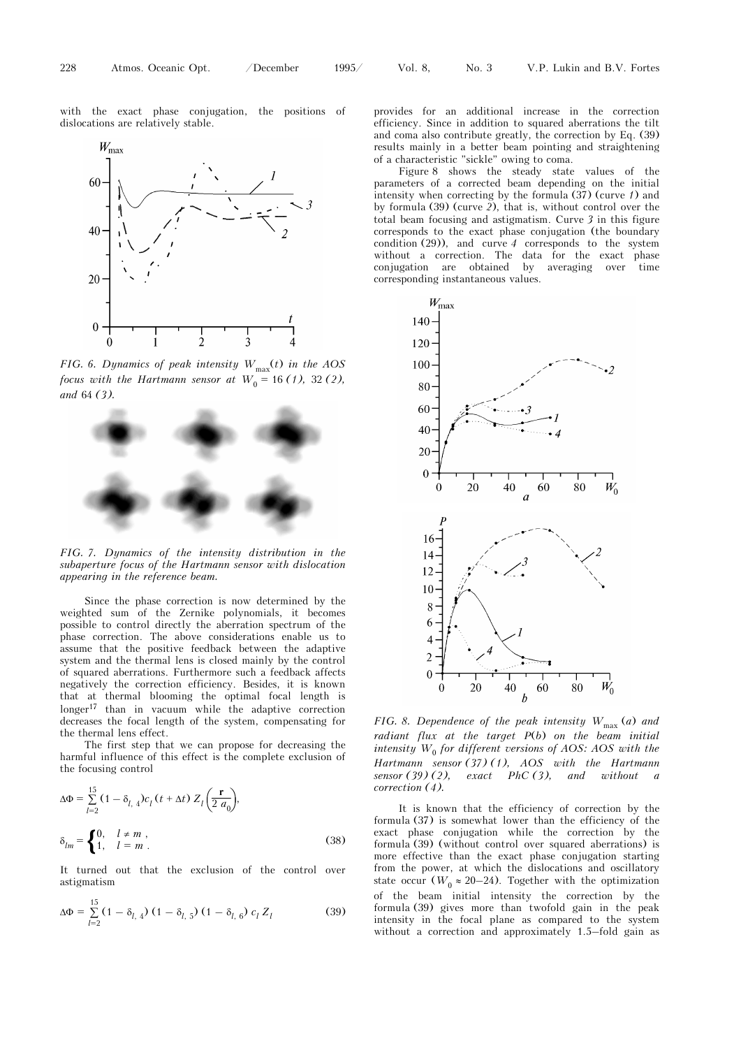with the exact phase conjugation, the positions of dislocations are relatively stable.



*FIG. 6. Dynamics of peak intensity*  $W_{\text{max}}(t)$  *in the AOS focus with the Hartmann sensor at*  $W_0 = 16$  (1), 32 (2), *and* 64 *(3).* 



*FIG. 7. Dynamics of the intensity distribution in the subaperture focus of the Hartmann sensor with dislocation appearing in the reference beam.* 

Since the phase correction is now determined by the weighted sum of the Zernike polynomials, it becomes possible to control directly the aberration spectrum of the phase correction. The above considerations enable us to assume that the positive feedback between the adaptive system and the thermal lens is closed mainly by the control of squared aberrations. Furthermore such a feedback affects negatively the correction efficiency. Besides, it is known that at thermal blooming the optimal focal length is  $longer<sup>17</sup>$  than in vacuum while the adaptive correction decreases the focal length of the system, compensating for the thermal lens effect.

The first step that we can propose for decreasing the harmful influence of this effect is the complete exclusion of the focusing control

$$
\Delta \Phi = \sum_{l=2}^{15} (1 - \delta_{l, 4}) c_l (t + \Delta t) Z_l \left(\frac{\mathbf{r}}{2 a_0}\right),
$$
  

$$
\delta_{lm} = \begin{cases} 0, & l \neq m \\ 1, & l = m \end{cases},
$$
 (38)

It turned out that the exclusion of the control over astigmatism

$$
\Delta \Phi = \sum_{l=2}^{15} (1 - \delta_{l, 4}) (1 - \delta_{l, 5}) (1 - \delta_{l, 6}) c_l Z_l \tag{39}
$$

provides for an additional increase in the correction efficiency. Since in addition to squared aberrations the tilt and coma also contribute greatly, the correction by Eq. (39) results mainly in a better beam pointing and straightening of a characteristic "sickle" owing to coma.

Figure 8 shows the steady state values of the parameters of a corrected beam depending on the initial intensity when correcting by the formula (37) (curve *1*) and by formula (39) (curve *2*), that is, without control over the total beam focusing and astigmatism. Curve *3* in this figure corresponds to the exact phase conjugation (the boundary condition (29)), and curve *4* corresponds to the system without a correction. The data for the exact phase conjugation are obtained by averaging over time corresponding instantaneous values.



*FIG. 8. Dependence of the peak intensity*  $W_{\text{max}}(a)$  and *radiant flux at the target P*(*b*) *on the beam initial intensity*  $W_0$  for different versions of AOS: AOS with the *Hartmann sensor (37) (1), AOS with the Hartmann sensor (39) (2), exact PhC (3), and without a correction (4).* 

It is known that the efficiency of correction by the formula (37) is somewhat lower than the efficiency of the exact phase conjugation while the correction by the formula (39) (without control over squared aberrations) is more effective than the exact phase conjugation starting from the power, at which the dislocations and oscillatory state occur ( $W_0 \approx 20-24$ ). Together with the optimization of the beam initial intensity the correction by the formula (39) gives more than twofold gain in the peak intensity in the focal plane as compared to the system without a correction and approximately 1.5–fold gain as